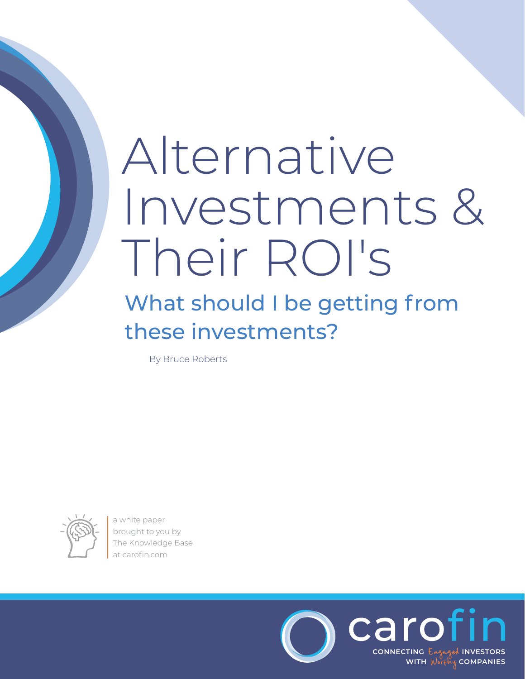## Alternative Investments & Their ROI's

## What should I be getting from these investments?

By Bruce Roberts



a white paper brought to you by [The Knowledge Base](https://carofin.com/article/debt-investment-overview/)  at carofin.com

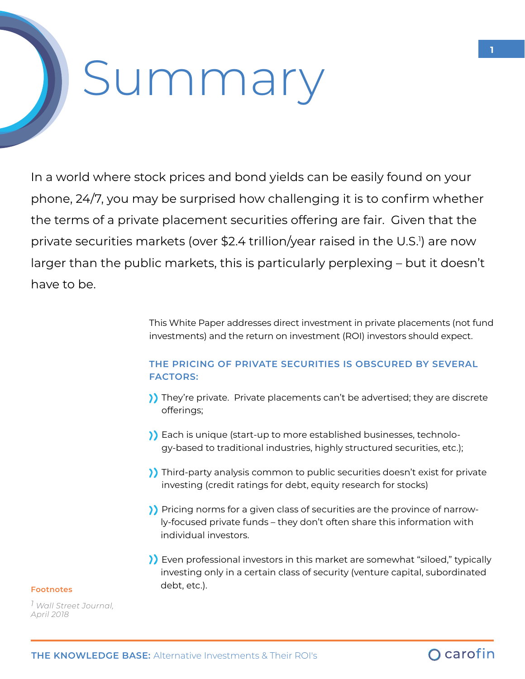# Summary

In a world where stock prices and bond yields can be easily found on your phone, 24/7, you may be surprised how challenging it is to confirm whether the terms of a private placement securities offering are fair. Given that the private securities markets (over \$2.4 trillion/year raised in the U.S.') are now larger than the public markets, this is particularly perplexing – but it doesn't have to be.

> This White Paper addresses direct investment in private placements (not fund investments) and the return on investment (ROI) investors should expect.

## **THE PRICING OF PRIVATE SECURITIES IS OBSCURED BY SEVERAL FACTORS:**

- ) They're private. Private placements can't be advertised; they are discrete offerings;
- Each is unique (start-up to more established businesses, technology-based to traditional industries, highly structured securities, etc.);
- ) Third-party analysis common to public securities doesn't exist for private investing (credit ratings for debt, equity research for stocks)
- Pricing norms for a given class of securities are the province of narrowly-focused private funds – they don't often share this information with individual investors.
- Even professional investors in this market are somewhat "siloed," typically investing only in a certain class of security (venture capital, subordinated debt, etc.). **Footnotes**

*1 Wall Street Journal, April 2018*

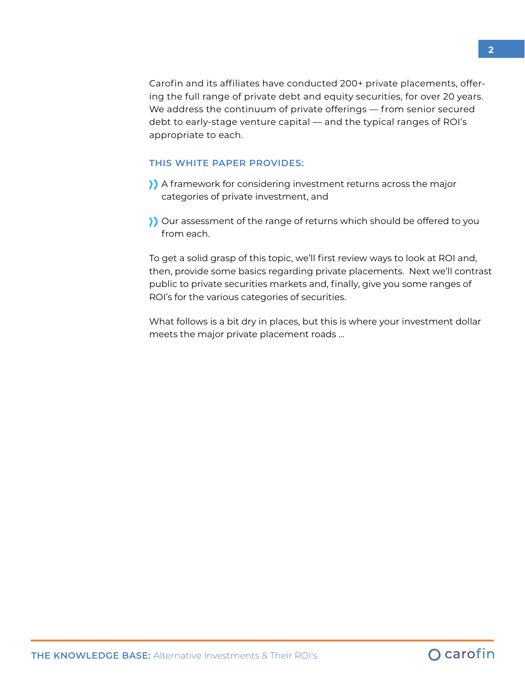Carofin and its affiliates have conducted 200+ private placements, offering the full range of private debt and equity securities, for over 20 years. We address the continuum of private offerings — from senior secured debt to early-stage venture capital — and the typical ranges of ROI's appropriate to each.

#### **THIS WHITE PAPER PROVIDES:**

- A framework for considering investment returns across the major categories of private investment, and
- ) Our assessment of the range of returns which should be offered to you from each.

To get a solid grasp of this topic, we'll first review ways to look at ROI and, then, provide some basics regarding private placements. Next we'll contrast public to private securities markets and, finally, give you some ranges of ROI's for the various categories of securities.

What follows is a bit dry in places, but this is where your investment dollar meets the major private placement roads …

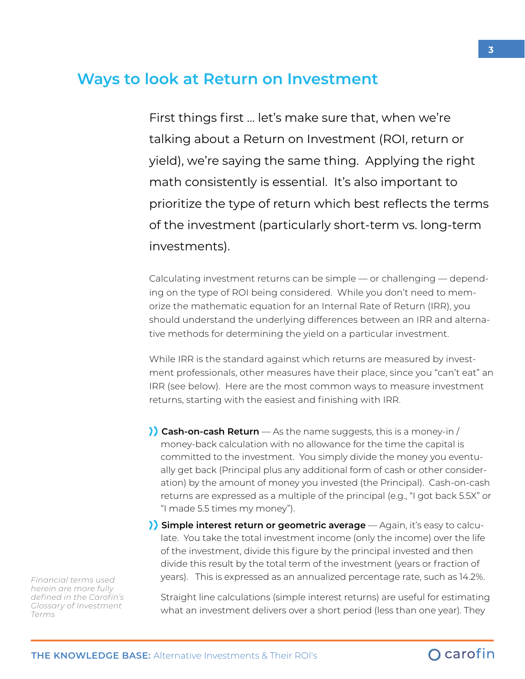## **Ways to look at Return on Investment**

First things first … let's make sure that, when we're talking about a Return on Investment (ROI, return or yield), we're saying the same thing. Applying the right math consistently is essential. It's also important to prioritize the type of return which best reflects the terms of the investment (particularly short-term vs. long-term investments).

Calculating investment returns can be simple — or challenging — depending on the type of ROI being considered. While you don't need to memorize the mathematic equation for an Internal Rate of Return (IRR), you should understand the underlying differences between an IRR and alternative methods for determining the yield on a particular investment.

While IRR is the standard against which returns are measured by investment professionals, other measures have their place, since you "can't eat" an IRR (see below). Here are the most common ways to measure investment returns, starting with the easiest and finishing with IRR.

- **Cash-on-cash Return** As the name suggests, this is a money-in / money-back calculation with no allowance for the time the capital is committed to the investment. You simply divide the money you eventually get back (Principal plus any additional form of cash or other consideration) by the amount of money you invested (the Principal). Cash-on-cash returns are expressed as a multiple of the principal (e.g., "I got back 5.5X" or "I made 5.5 times my money").
- **Simple interest return or geometric average** Again, it's easy to calculate. You take the total investment income (only the income) over the life of the investment, divide this figure by the principal invested and then divide this result by the total term of the investment (years or fraction of years). This is expressed as an annualized percentage rate, such as 14.2%.

Straight line calculations (simple interest returns) are useful for estimating what an investment delivers over a short period (less than one year). They

*Financial terms used herein are more fully defined in the Carofin's Glossary of Investment Terms*

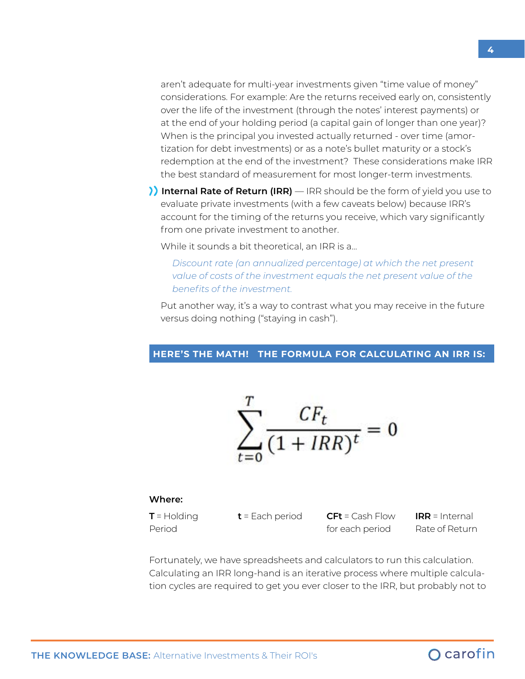aren't adequate for multi-year investments given "time value of money" considerations. For example: Are the returns received early on, consistently over the life of the investment (through the notes' interest payments) or at the end of your holding period (a capital gain of longer than one year)? When is the principal you invested actually returned - over time (amortization for debt investments) or as a note's bullet maturity or a stock's redemption at the end of the investment? These considerations make IRR the best standard of measurement for most longer-term investments.

**I** Internal Rate of Return (IRR) — IRR should be the form of yield you use to evaluate private investments (with a few caveats below) because IRR's account for the timing of the returns you receive, which vary significantly from one private investment to another.

While it sounds a bit theoretical, an IRR is a…

*Discount rate (an annualized percentage) at which the net present value of costs of the investment equals the net present value of the benefits of the investment.* 

Put another way, it's a way to contrast what you may receive in the future versus doing nothing ("staying in cash").

#### **HERE'S THE MATH! THE FORMULA FOR CALCULATING AN IRR IS:**

$$
\sum_{t=0}^{T} \frac{CF_t}{(1 + IRR)^t} = 0
$$

#### **Where:**

**T** = Holding Period

**t** = Each period **CFt** = Cash Flow for each period **IRR** = Internal Rate of Return

Fortunately, we have spreadsheets and calculators to run this calculation. Calculating an IRR long-hand is an iterative process where multiple calculation cycles are required to get you ever closer to the IRR, but probably not to

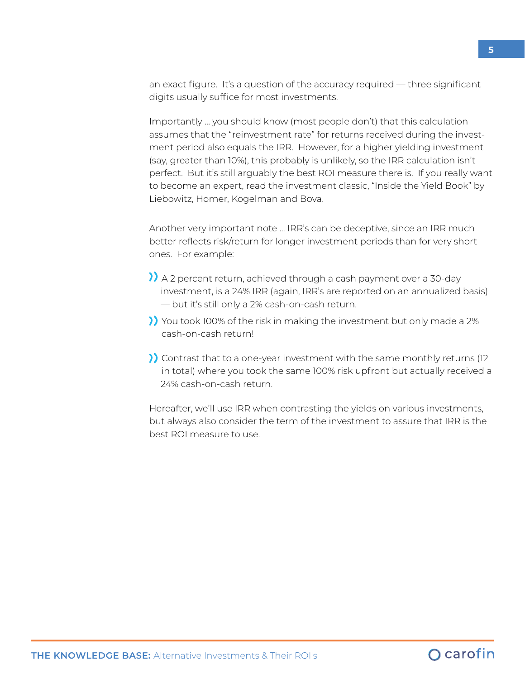an exact figure. It's a question of the accuracy required — three significant digits usually suffice for most investments.

Importantly … you should know (most people don't) that this calculation assumes that the "reinvestment rate" for returns received during the investment period also equals the IRR. However, for a higher yielding investment (say, greater than 10%), this probably is unlikely, so the IRR calculation isn't perfect. But it's still arguably the best ROI measure there is. If you really want to become an expert, read the investment classic, "Inside the Yield Book" by Liebowitz, Homer, Kogelman and Bova.

Another very important note … IRR's can be deceptive, since an IRR much better reflects risk/return for longer investment periods than for very short ones. For example:

- A 2 percent return, achieved through a cash payment over a 30-day investment, is a 24% IRR (again, IRR's are reported on an annualized basis) — but it's still only a 2% cash-on-cash return.
- You took 100% of the risk in making the investment but only made a 2% cash-on-cash return!
- Contrast that to a one-year investment with the same monthly returns (12 in total) where you took the same 100% risk upfront but actually received a 24% cash-on-cash return.

Hereafter, we'll use IRR when contrasting the yields on various investments, but always also consider the term of the investment to assure that IRR is the best ROI measure to use.

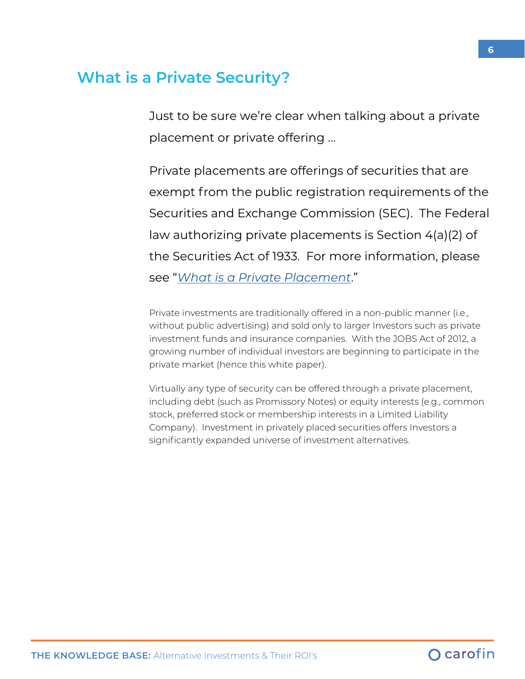## **What is a Private Security?**

Just to be sure we're clear when talking about a private placement or private offering …

Private placements are offerings of securities that are exempt from the public registration requirements of the Securities and Exchange Commission (SEC). The Federal law authorizing private placements is Section 4(a)(2) of the Securities Act of 1933. For more information, please see "*[What is a Private Placement](https://carofin.com/knowledge-base/investor-support/what-is-a-private-placement/)*."

Private investments are traditionally offered in a non-public manner (i.e., without public advertising) and sold only to larger Investors such as private investment funds and insurance companies. With the JOBS Act of 2012, a growing number of individual investors are beginning to participate in the private market (hence this white paper).

Virtually any type of security can be offered through a private placement, including debt (such as Promissory Notes) or equity interests (e.g., common stock, preferred stock or membership interests in a Limited Liability Company). Investment in privately placed securities offers Investors a significantly expanded universe of investment alternatives.

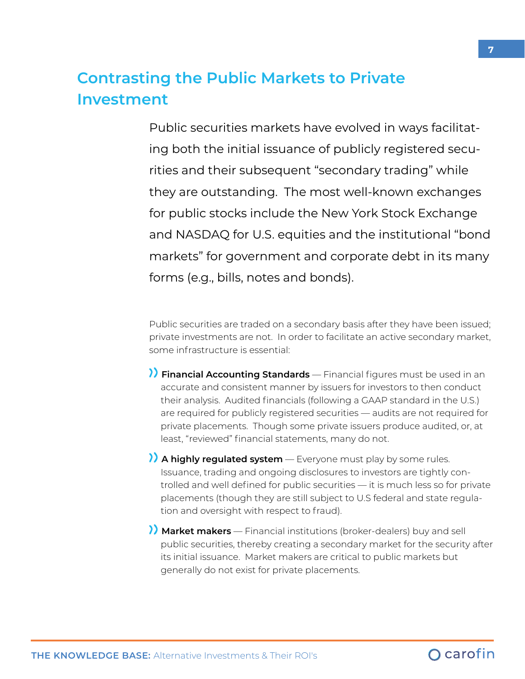## **Contrasting the Public Markets to Private Investment**

Public securities markets have evolved in ways facilitating both the initial issuance of publicly registered securities and their subsequent "secondary trading" while they are outstanding. The most well-known exchanges for public stocks include the New York Stock Exchange and NASDAQ for U.S. equities and the institutional "bond markets" for government and corporate debt in its many forms (e.g., bills, notes and bonds).

Public securities are traded on a secondary basis after they have been issued; private investments are not. In order to facilitate an active secondary market, some infrastructure is essential:

**Financial Accounting Standards** — Financial figures must be used in an accurate and consistent manner by issuers for investors to then conduct their analysis. Audited financials (following a GAAP standard in the U.S.) are required for publicly registered securities — audits are not required for private placements. Though some private issuers produce audited, or, at least, "reviewed" financial statements, many do not.

**A highly regulated system** — Everyone must play by some rules. Issuance, trading and ongoing disclosures to investors are tightly controlled and well defined for public securities — it is much less so for private placements (though they are still subject to U.S federal and state regulation and oversight with respect to fraud).

**Market makers** — Financial institutions (broker-dealers) buy and sell public securities, thereby creating a secondary market for the security after its initial issuance. Market makers are critical to public markets but generally do not exist for private placements.

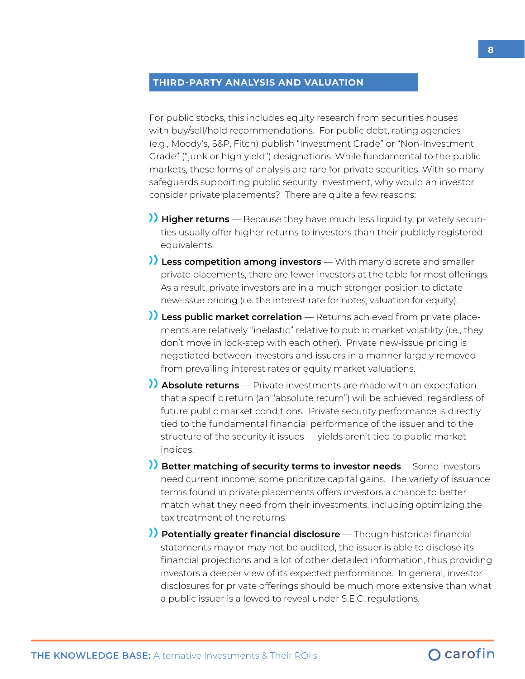#### **THIRD-PARTY ANALYSIS AND VALUATION**

For public stocks, this includes equity research from securities houses with buy/sell/hold recommendations. For public debt, rating agencies (e.g., Moody's, S&P, Fitch) publish "Investment Grade" or "Non-Investment Grade" ("junk or high yield") designations. While fundamental to the public markets, these forms of analysis are rare for private securities. With so many safeguards supporting public security investment, why would an investor consider private placements? There are quite a few reasons:

- **Higher returns**  Because they have much less liquidity, privately securities usually offer higher returns to investors than their publicly registered equivalents.
- **Less competition among investors**  With many discrete and smaller private placements, there are fewer investors at the table for most offerings. As a result, private investors are in a much stronger position to dictate new-issue pricing (i.e. the interest rate for notes, valuation for equity).
- **Less public market correlation**  Returns achieved from private placements are relatively "inelastic" relative to public market volatility (i.e., they don't move in lock-step with each other). Private new-issue pricing is negotiated between investors and issuers in a manner largely removed from prevailing interest rates or equity market valuations.
- **Absolute returns**  Private investments are made with an expectation that a specific return (an "absolute return") will be achieved, regardless of future public market conditions. Private security performance is directly tied to the fundamental financial performance of the issuer and to the structure of the security it issues — yields aren't tied to public market indices.
- **Better matching of security terms to investor needs** —Some investors need current income; some prioritize capital gains. The variety of issuance terms found in private placements offers investors a chance to better match what they need from their investments, including optimizing the tax treatment of the returns.
- **Potentially greater financial disclosure**  Though historical financial statements may or may not be audited, the issuer is able to disclose its financial projections and a lot of other detailed information, thus providing investors a deeper view of its expected performance. In general, investor disclosures for private offerings should be much more extensive than what a public issuer is allowed to reveal under S.E.C. regulations.

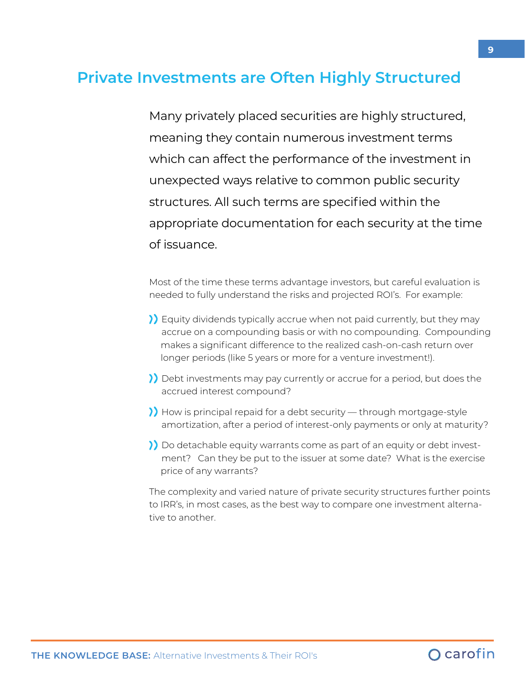## **Private Investments are Often Highly Structured**

Many privately placed securities are highly structured, meaning they contain numerous investment terms which can affect the performance of the investment in unexpected ways relative to common public security structures. All such terms are specified within the appropriate documentation for each security at the time of issuance.

Most of the time these terms advantage investors, but careful evaluation is needed to fully understand the risks and projected ROI's. For example:

- Equity dividends typically accrue when not paid currently, but they may accrue on a compounding basis or with no compounding. Compounding makes a significant difference to the realized cash-on-cash return over longer periods (like 5 years or more for a venture investment!).
- Debt investments may pay currently or accrue for a period, but does the accrued interest compound?
- How is principal repaid for a debt security through mortgage-style amortization, after a period of interest-only payments or only at maturity?
- Do detachable equity warrants come as part of an equity or debt investment? Can they be put to the issuer at some date? What is the exercise price of any warrants?

The complexity and varied nature of private security structures further points to IRR's, in most cases, as the best way to compare one investment alternative to another.

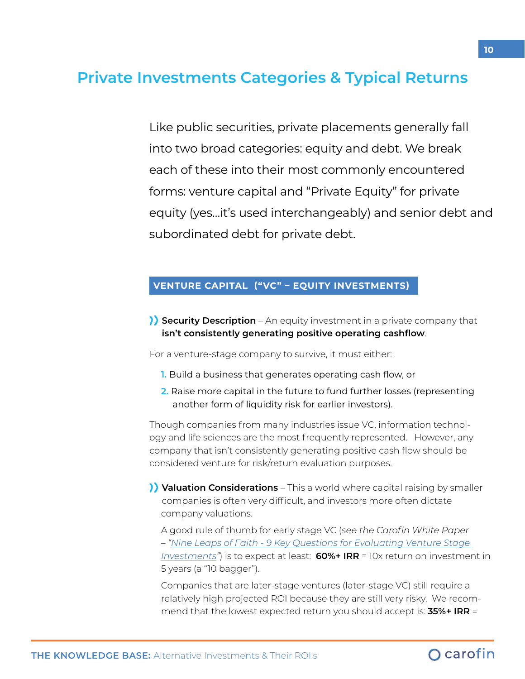## **Private Investments Categories & Typical Returns**

Like public securities, private placements generally fall into two broad categories: equity and debt. We break each of these into their most commonly encountered forms: venture capital and "Private Equity" for private equity (yes…it's used interchangeably) and senior debt and subordinated debt for private debt.

#### **VENTURE CAPITAL ("VC" – EQUITY INVESTMENTS)**

**Security Description** – An equity investment in a private company that **isn't consistently generating positive operating cashflow**.

For a venture-stage company to survive, it must either:

- **1.** Build a business that generates operating cash flow, or
- **2.** Raise more capital in the future to fund further losses (representing another form of liquidity risk for earlier investors).

Though companies from many industries issue VC, information technology and life sciences are the most frequently represented. However, any company that isn't consistently generating positive cash flow should be considered venture for risk/return evaluation purposes.

**Valuation Considerations** – This a world where capital raising by smaller companies is often very difficult, and investors more often dictate company valuations.

A good rule of thumb for early stage VC (*see the Carofin White Paper – "[Nine Leaps of Faith - 9 Key Questions for Evaluating Venture Stage](https://carofin.com/knowledge-base/white-paper/nine-leaps-of-faith-9-key-questions-for-evaluating-venture-stage-investments/)  [Investments"](https://carofin.com/knowledge-base/white-paper/nine-leaps-of-faith-9-key-questions-for-evaluating-venture-stage-investments/)*) is to expect at least: **60%+ IRR** = 10x return on investment in 5 years (a "10 bagger").

Companies that are later-stage ventures (later-stage VC) still require a relatively high projected ROI because they are still very risky. We recommend that the lowest expected return you should accept is: **35%+ IRR** =

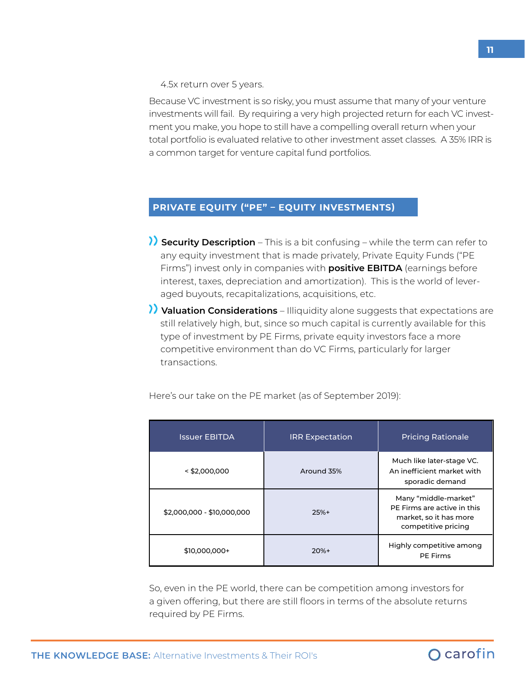4.5x return over 5 years.

Because VC investment is so risky, you must assume that many of your venture investments will fail. By requiring a very high projected return for each VC investment you make, you hope to still have a compelling overall return when your total portfolio is evaluated relative to other investment asset classes. A 35% IRR is a common target for venture capital fund portfolios.

## **PRIVATE EQUITY ("PE" – EQUITY INVESTMENTS)**

- **Security Description**  This is a bit confusing while the term can refer to any equity investment that is made privately, Private Equity Funds ("PE Firms") invest only in companies with **positive EBITDA** (earnings before interest, taxes, depreciation and amortization). This is the world of leveraged buyouts, recapitalizations, acquisitions, etc.
- **Valuation Considerations**  Illiquidity alone suggests that expectations are still relatively high, but, since so much capital is currently available for this type of investment by PE Firms, private equity investors face a more competitive environment than do VC Firms, particularly for larger transactions.

| <b>Issuer EBITDA</b>       | <b>IRR Expectation</b> | <b>Pricing Rationale</b>                                                                             |
|----------------------------|------------------------|------------------------------------------------------------------------------------------------------|
| $<$ \$2,000,000            | Around 35%             | Much like later-stage VC.<br>An inefficient market with<br>sporadic demand                           |
| \$2,000,000 - \$10,000,000 | $25%+$                 | Many "middle-market"<br>PE Firms are active in this<br>market, so it has more<br>competitive pricing |
| \$10,000,000+              | $20%+$                 | Highly competitive among<br><b>PE Firms</b>                                                          |

Here's our take on the PE market (as of September 2019):

So, even in the PE world, there can be competition among investors for a given offering, but there are still floors in terms of the absolute returns required by PE Firms.

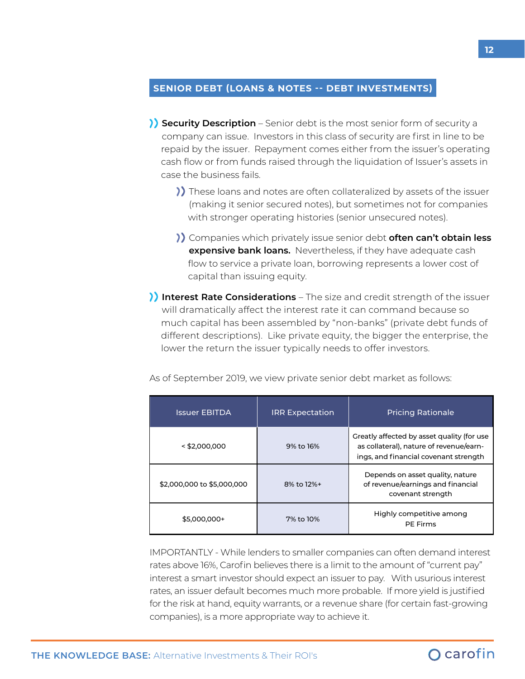### **SENIOR DEBT (LOANS & NOTES -- DEBT INVESTMENTS)**

- **Security Description**  Senior debt is the most senior form of security a company can issue. Investors in this class of security are first in line to be repaid by the issuer. Repayment comes either from the issuer's operating cash flow or from funds raised through the liquidation of Issuer's assets in case the business fails.
	- )) These loans and notes are often collateralized by assets of the issuer (making it senior secured notes), but sometimes not for companies with stronger operating histories (senior unsecured notes).
	- Companies which privately issue senior debt **often can't obtain less expensive bank loans.** Nevertheless, if they have adequate cash flow to service a private loan, borrowing represents a lower cost of capital than issuing equity.
- **Interest Rate Considerations**  The size and credit strength of the issuer will dramatically affect the interest rate it can command because so much capital has been assembled by "non-banks" (private debt funds of different descriptions). Like private equity, the bigger the enterprise, the lower the return the issuer typically needs to offer investors.

| <b>Issuer EBITDA</b>       | <b>IRR Expectation</b> | <b>Pricing Rationale</b>                                                                                                       |
|----------------------------|------------------------|--------------------------------------------------------------------------------------------------------------------------------|
| $<$ \$2,000,000            | 9% to 16%              | Greatly affected by asset quality (for use<br>as collateral), nature of revenue/earn-<br>ings, and financial covenant strength |
| \$2,000,000 to \$5,000,000 | 8% to 12%+             | Depends on asset quality, nature<br>of revenue/earnings and financial<br>covenant strength                                     |
| \$5,000,000+               | 7% to 10%              | Highly competitive among<br><b>PE Firms</b>                                                                                    |

IMPORTANTLY - While lenders to smaller companies can often demand interest rates above 16%, Carofin believes there is a limit to the amount of "current pay" interest a smart investor should expect an issuer to pay. With usurious interest rates, an issuer default becomes much more probable. If more yield is justified for the risk at hand, equity warrants, or a revenue share (for certain fast-growing companies), is a more appropriate way to achieve it.

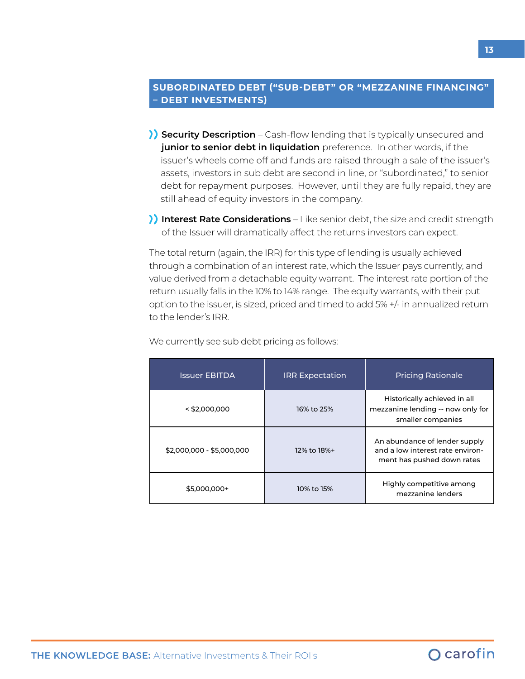## **SUBORDINATED DEBT ("SUB-DEBT" OR "MEZZANINE FINANCING" – DEBT INVESTMENTS)**

- **Security Description**  Cash-flow lending that is typically unsecured and **junior to senior debt in liquidation** preference. In other words, if the issuer's wheels come off and funds are raised through a sale of the issuer's assets, investors in sub debt are second in line, or "subordinated," to senior debt for repayment purposes. However, until they are fully repaid, they are still ahead of equity investors in the company.
- **Interest Rate Considerations** Like senior debt, the size and credit strength of the Issuer will dramatically affect the returns investors can expect.

The total return (again, the IRR) for this type of lending is usually achieved through a combination of an interest rate, which the Issuer pays currently, and value derived from a detachable equity warrant. The interest rate portion of the return usually falls in the 10% to 14% range. The equity warrants, with their put option to the issuer, is sized, priced and timed to add 5% +/- in annualized return to the lender's IRR.

| <b>Issuer EBITDA</b>      | <b>IRR Expectation</b> | <b>Pricing Rationale</b>                                                                        |
|---------------------------|------------------------|-------------------------------------------------------------------------------------------------|
| $<$ \$2,000,000           | 16% to 25%             | Historically achieved in all<br>mezzanine lending -- now only for<br>smaller companies          |
| \$2,000,000 - \$5,000,000 | 12% to 18%+            | An abundance of lender supply<br>and a low interest rate environ-<br>ment has pushed down rates |
| \$5,000,000+              | 10% to 15%             | Highly competitive among<br>mezzanine lenders                                                   |

We currently see sub debt pricing as follows:

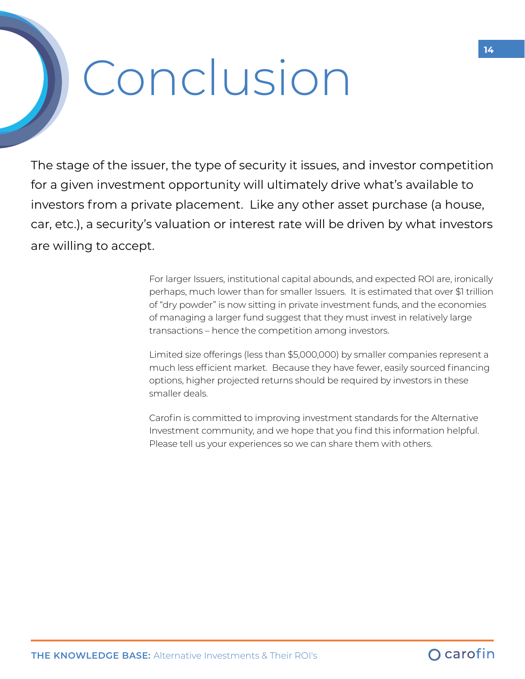## Conclusion

The stage of the issuer, the type of security it issues, and investor competition for a given investment opportunity will ultimately drive what's available to investors from a private placement. Like any other asset purchase (a house, car, etc.), a security's valuation or interest rate will be driven by what investors are willing to accept.

> For larger Issuers, institutional capital abounds, and expected ROI are, ironically perhaps, much lower than for smaller Issuers. It is estimated that over \$1 trillion of "dry powder" is now sitting in private investment funds, and the economies of managing a larger fund suggest that they must invest in relatively large transactions – hence the competition among investors.

Limited size offerings (less than \$5,000,000) by smaller companies represent a much less efficient market. Because they have fewer, easily sourced financing options, higher projected returns should be required by investors in these smaller deals.

Carofin is committed to improving investment standards for the Alternative Investment community, and we hope that you find this information helpful. Please tell us your experiences so we can share them with others.